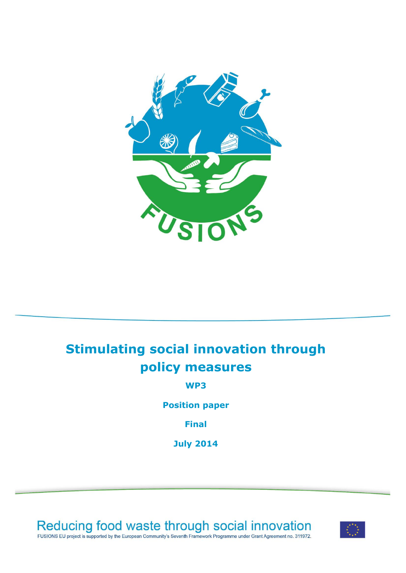

## **Stimulating social innovation through policy measures**

**WP3**

**Position paper**

**Final**

**July 2014**

Reducing food waste through social innovation<br>FUSIONS EU project is supported by the European Community's Seventh Framework Programme under Grant Agreement no. 311972.

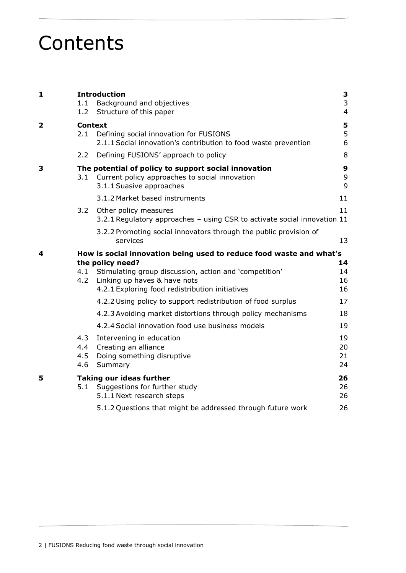## **Contents**

| 1              | 1.1<br>1.2                                                          | <b>Introduction</b><br>Background and objectives<br>Structure of this paper                                                               | 3<br>3<br>$\overline{4}$ |  |  |
|----------------|---------------------------------------------------------------------|-------------------------------------------------------------------------------------------------------------------------------------------|--------------------------|--|--|
| $\overline{2}$ | 2.1                                                                 | <b>Context</b><br>Defining social innovation for FUSIONS<br>2.1.1 Social innovation's contribution to food waste prevention               | 5<br>5<br>6              |  |  |
|                | $2.2^{\circ}$                                                       | Defining FUSIONS' approach to policy                                                                                                      | 8                        |  |  |
| 3              | 3.1                                                                 | The potential of policy to support social innovation<br>Current policy approaches to social innovation<br>3.1.1 Suasive approaches        | 9<br>9<br>9              |  |  |
|                |                                                                     | 3.1.2 Market based instruments                                                                                                            | 11                       |  |  |
|                | 3.2                                                                 | Other policy measures<br>3.2.1 Regulatory approaches - using CSR to activate social innovation 11                                         | 11                       |  |  |
|                |                                                                     | 3.2.2 Promoting social innovators through the public provision of<br>services                                                             | 13                       |  |  |
| 4              | How is social innovation being used to reduce food waste and what's |                                                                                                                                           |                          |  |  |
|                |                                                                     | the policy need?                                                                                                                          | 14                       |  |  |
|                | 4.1<br>4.2                                                          | Stimulating group discussion, action and 'competition'<br>Linking up haves & have nots<br>4.2.1 Exploring food redistribution initiatives | 14<br>16<br>16           |  |  |
|                |                                                                     | 4.2.2 Using policy to support redistribution of food surplus                                                                              | 17                       |  |  |
|                |                                                                     | 4.2.3 Avoiding market distortions through policy mechanisms                                                                               | 18                       |  |  |
|                |                                                                     | 4.2.4 Social innovation food use business models                                                                                          | 19                       |  |  |
|                | 4.3<br>4.4<br>4.5<br>4.6                                            | Intervening in education<br>Creating an alliance<br>Doing something disruptive<br>Summary                                                 | 19<br>20<br>21<br>24     |  |  |
| 5              | 5.1                                                                 | <b>Taking our ideas further</b><br>Suggestions for further study<br>5.1.1 Next research steps                                             | 26<br>26<br>26           |  |  |
|                |                                                                     | 5.1.2 Questions that might be addressed through future work                                                                               | 26                       |  |  |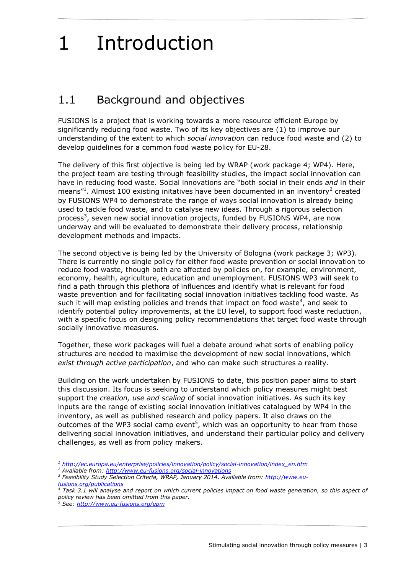# <span id="page-2-0"></span>1 Introduction

## <span id="page-2-1"></span>1.1 Background and objectives

FUSIONS is a project that is working towards a more resource efficient Europe by significantly reducing food waste. Two of its key objectives are (1) to improve our understanding of the extent to which *social innovation* can reduce food waste and (2) to develop guidelines for a common food waste policy for EU-28.

The delivery of this first objective is being led by WRAP (work package 4; WP4). Here, the project team are testing through feasibility studies, the impact social innovation can have in reducing food waste. Social innovations are "both social in their ends *and* in their means $^{\prime\prime}$ 1. Almost 100 existing initatives have been documented in an inventory<sup>2</sup> created by FUSIONS WP4 to demonstrate the range of ways social innovation is already being used to tackle food waste, and to catalyse new ideas. Through a rigorous selection process<sup>3</sup>, seven new social innovation projects, funded by FUSIONS WP4, are now underway and will be evaluated to demonstrate their delivery process, relationship development methods and impacts.

The second objective is being led by the University of Bologna (work package 3; WP3). There is currently no single policy for either food waste prevention or social innovation to reduce food waste, though both are affected by policies on, for example, environment, economy, health, agriculture, education and unemployment. FUSIONS WP3 will seek to find a path through this plethora of influences and identify what is relevant for food waste prevention and for facilitating social innovation initiatives tackling food waste. As such it will map existing policies and trends that impact on food waste<sup>4</sup>, and seek to identify potential policy improvements, at the EU level, to support food waste reduction, with a specific focus on designing policy recommendations that target food waste through socially innovative measures.

Together, these work packages will fuel a debate around what sorts of enabling policy structures are needed to maximise the development of new social innovations, which *exist through active participation*, and who can make such structures a reality.

Building on the work undertaken by FUSIONS to date, this position paper aims to start this discussion. Its focus is seeking to understand which policy measures might best support the *creation, use and scaling* of social innovation initiatives. As such its key inputs are the range of existing social innovation initiatives catalogued by WP4 in the inventory, as well as published research and policy papers. It also draws on the outcomes of the WP3 social camp event<sup>5</sup>, which was an opportunity to hear from those delivering social innovation initiatives, and understand their particular policy and delivery challenges, as well as from policy makers.

*<sup>1</sup> [http://ec.europa.eu/enterprise/policies/innovation/policy/social-innovation/index\\_en.htm](http://ec.europa.eu/enterprise/policies/innovation/policy/social-innovation/index_en.htm)* 

*<sup>2</sup> Available from:<http://www.eu-fusions.org/social-innovations>*

*<sup>3</sup> Feasibility Study Selection Criteria, WRAP, January 2014. Available from: [http://www.eu](http://www.eu-fusions.org/publications)[fusions.org/publications](http://www.eu-fusions.org/publications)*

*<sup>4</sup> Task 3.1 will analyse and report on which current policies impact on food waste generation, so this aspect of policy review has been omitted from this paper.*

*<sup>5</sup> See:<http://www.eu-fusions.org/epm>*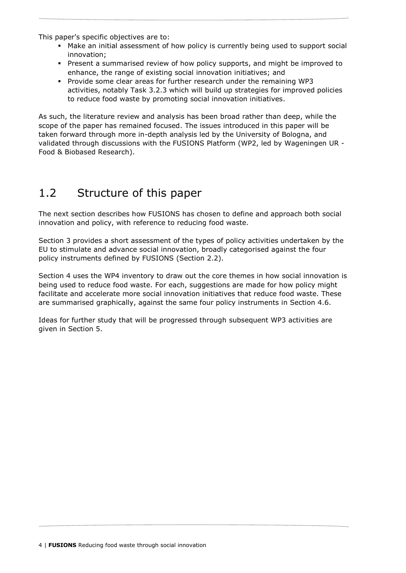This paper's specific objectives are to:

- Make an initial assessment of how policy is currently being used to support social innovation;
- Present a summarised review of how policy supports, and might be improved to enhance, the range of existing social innovation initiatives; and
- Provide some clear areas for further research under the remaining WP3 activities, notably Task 3.2.3 which will build up strategies for improved policies to reduce food waste by promoting social innovation initiatives.

As such, the literature review and analysis has been broad rather than deep, while the scope of the paper has remained focused. The issues introduced in this paper will be taken forward through more in-depth analysis led by the University of Bologna, and validated through discussions with the FUSIONS Platform (WP2, led by Wageningen UR - Food & Biobased Research).

## <span id="page-3-0"></span>1.2 Structure of this paper

The next section describes how FUSIONS has chosen to define and approach both social innovation and policy, with reference to reducing food waste.

Section [3](#page-8-0) provides a short assessment of the types of policy activities undertaken by the EU to stimulate and advance social innovation, broadly categorised against the four policy instruments defined by FUSIONS (Section [2.2\)](#page-7-0).

Section [4](#page-13-0) uses the WP4 inventory to draw out the core themes in how social innovation is being used to reduce food waste. For each, suggestions are made for how policy might facilitate and accelerate more social innovation initiatives that reduce food waste. These are summarised graphically, against the same four policy instruments in Section [4.6.](#page-23-0)

Ideas for further study that will be progressed through subsequent WP3 activities are given in Section [5.](#page-25-0)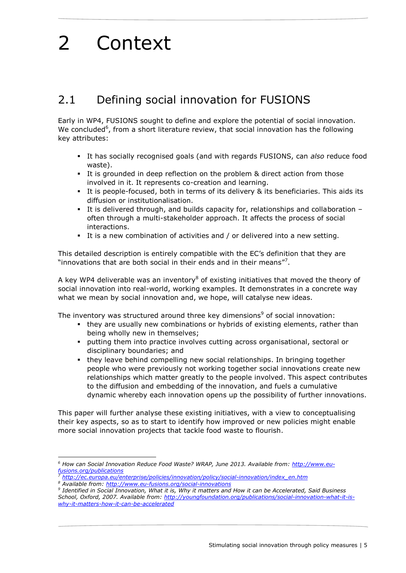<span id="page-4-0"></span>2 Context

## <span id="page-4-1"></span>2.1 Defining social innovation for FUSIONS

Early in WP4, FUSIONS sought to define and explore the potential of social innovation. We concluded<sup>6</sup>, from a short literature review, that social innovation has the following key attributes:

- It has socially recognised goals (and with regards FUSIONS, can *also* reduce food waste).
- It is grounded in deep reflection on the problem & direct action from those involved in it. It represents co-creation and learning.
- It is people-focused, both in terms of its delivery & its beneficiaries. This aids its diffusion or institutionalisation.
- It is delivered through, and builds capacity for, relationships and collaboration often through a multi-stakeholder approach. It affects the process of social interactions.
- It is a new combination of activities and / or delivered into a new setting.

This detailed description is entirely compatible with the EC's definition that they are "innovations that are both social in their ends and in their means"<sup>7</sup>.

A key WP4 deliverable was an inventory<sup>8</sup> of existing initiatives that moved the theory of social innovation into real-world, working examples. It demonstrates in a concrete way what we mean by social innovation and, we hope, will catalyse new ideas.

The inventory was structured around three key dimensions<sup>9</sup> of social innovation:

- they are usually new combinations or hybrids of existing elements, rather than being wholly new in themselves;
- putting them into practice involves cutting across organisational, sectoral or disciplinary boundaries; and
- they leave behind compelling new social relationships. In bringing together people who were previously not working together social innovations create new relationships which matter greatly to the people involved. This aspect contributes to the diffusion and embedding of the innovation, and fuels a cumulative dynamic whereby each innovation opens up the possibility of further innovations.

This paper will further analyse these existing initiatives, with a view to conceptualising their key aspects, so as to start to identify how improved or new policies might enable more social innovation projects that tackle food waste to flourish.

*<sup>6</sup> How can Social Innovation Reduce Food Waste? WRAP, June 2013. Available from: [http://www.eu](http://www.eu-fusions.org/publications)[fusions.org/publications](http://www.eu-fusions.org/publications)*

*<sup>7</sup> [http://ec.europa.eu/enterprise/policies/innovation/policy/social-innovation/index\\_en.htm](http://ec.europa.eu/enterprise/policies/innovation/policy/social-innovation/index_en.htm)* 

*<sup>8</sup> Available from:<http://www.eu-fusions.org/social-innovations>*

*<sup>9</sup> Identified in Social Innovation, What it is, Why it matters and How it can be Accelerated, Said Business School, Oxford, 2007. Available from: [http://youngfoundation.org/publications/social-innovation-what-it-is](http://youngfoundation.org/publications/social-innovation-what-it-is-why-it-matters-how-it-can-be-accelerated)[why-it-matters-how-it-can-be-accelerated](http://youngfoundation.org/publications/social-innovation-what-it-is-why-it-matters-how-it-can-be-accelerated)*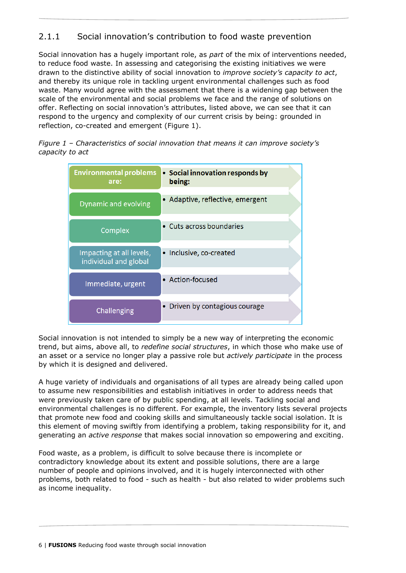#### <span id="page-5-0"></span>2.1.1 Social innovation's contribution to food waste prevention

Social innovation has a hugely important role, as *part* of the mix of interventions needed, to reduce food waste. In assessing and categorising the existing initiatives we were drawn to the distinctive ability of social innovation to *improve society's capacity to act*, and thereby its unique role in tackling urgent environmental challenges such as food waste. Many would agree with the assessment that there is a widening gap between the scale of the environmental and social problems we face and the range of solutions on offer. Reflecting on social innovation's attributes, listed above, we can see that it can respond to the urgency and complexity of our current crisis by being: grounded in reflection, co-created and emergent (Figure 1).

| <b>Environmental problems</b><br>are:             | • Social innovation responds by<br>being: |
|---------------------------------------------------|-------------------------------------------|
| Dynamic and evolving                              | • Adaptive, reflective, emergent          |
| Complex                                           | • Cuts across boundaries                  |
| Impacting at all levels,<br>individual and global | • Inclusive, co-created                   |
| Immediate, urgent                                 | • Action-focused                          |
| Challenging                                       | • Driven by contagious courage            |

*Figure* 1 - *Characteristics of social innovation that means it can improve society's capacity to act*

Social innovation is not intended to simply be a new way of interpreting the economic trend, but aims, above all, to *redefine social structures*, in which those who make use of an asset or a service no longer play a passive role but *actively participate* in the process by which it is designed and delivered.

A huge variety of individuals and organisations of all types are already being called upon to assume new responsibilities and establish initiatives in order to address needs that were previously taken care of by public spending, at all levels. Tackling social and environmental challenges is no different. For example, the inventory lists several projects that promote new food and cooking skills and simultaneously tackle social isolation. It is this element of moving swiftly from identifying a problem, taking responsibility for it, and generating an *active response* that makes social innovation so empowering and exciting.

Food waste, as a problem, is difficult to solve because there is incomplete or contradictory knowledge about its extent and possible solutions, there are a large number of people and opinions involved, and it is hugely interconnected with other problems, both related to food - such as health - but also related to wider problems such as income inequality.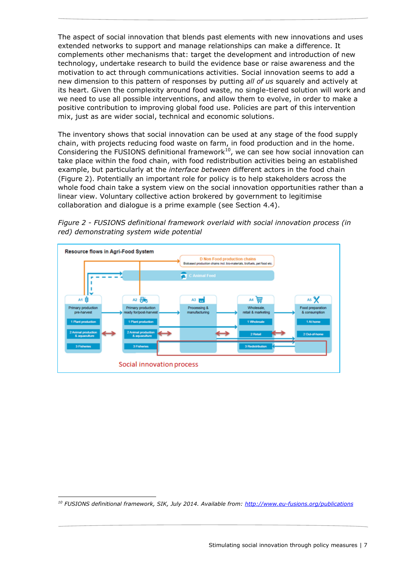The aspect of social innovation that blends past elements with new innovations and uses extended networks to support and manage relationships can make a difference. It complements other mechanisms that: target the development and introduction of new technology, undertake research to build the evidence base or raise awareness and the motivation to act through communications activities. Social innovation seems to add a new dimension to this pattern of responses by putting *all of us* squarely and actively at its heart. Given the complexity around food waste, no single-tiered solution will work and we need to use all possible interventions, and allow them to evolve, in order to make a positive contribution to improving global food use. Policies are part of this intervention mix, just as are wider social, technical and economic solutions.

The inventory shows that social innovation can be used at any stage of the food supply chain, with projects reducing food waste on farm, in food production and in the home. Considering the FUSIONS definitional framework $10$ , we can see how social innovation can take place within the food chain, with food redistribution activities being an established example, but particularly at the *interface between* different actors in the food chain (Figure 2). Potentially an important role for policy is to help stakeholders across the whole food chain take a system view on the social innovation opportunities rather than a linear view. Voluntary collective action brokered by government to legitimise collaboration and dialogue is a prime example (see Section [4.4\)](#page-19-0).

*Figure 2 - FUSIONS definitional framework overlaid with social innovation process (in red) demonstrating system wide potential*



<sup>-</sup>*<sup>10</sup> FUSIONS definitional framework, SIK, July 2014. Available from: <http://www.eu-fusions.org/publications>*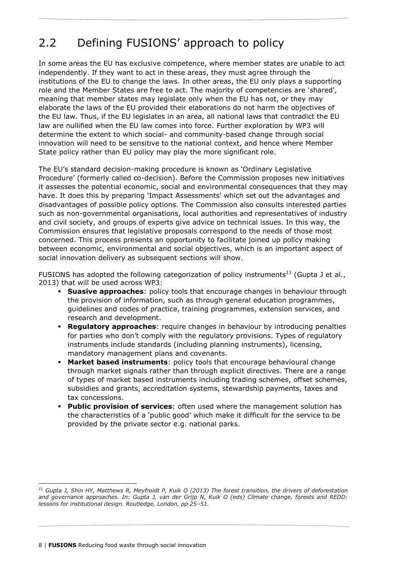## <span id="page-7-0"></span>2.2 Defining FUSIONS' approach to policy

In some areas the EU has exclusive competence, where member states are unable to act independently. If they want to act in these areas, they must agree through the institutions of the EU to change the laws. In other areas, the EU only plays a supporting role and the Member States are free to act. The majority of competencies are 'shared', meaning that member states may legislate only when the EU has not, or they may elaborate the laws of the EU provided their elaborations do not harm the objectives of the EU law. Thus, if the EU legislates in an area, all national laws that contradict the EU law are nullified when the EU law comes into force. Further exploration by WP3 will determine the extent to which social- and community-based change through social innovation will need to be sensitive to the national context, and hence where Member State policy rather than EU policy may play the more significant role.

The EU's standard decision-making procedure is known as 'Ordinary Legislative Procedure' (formerly called co-decision). Before the Commission proposes new initiatives it assesses the potential economic, social and environmental consequences that they may have. It does this by preparing 'Impact Assessments' which set out the advantages and disadvantages of possible policy options. The Commission also consults interested parties such as non-governmental organisations, local authorities and representatives of industry and civil society, and groups of experts give advice on technical issues. In this way, the Commission ensures that legislative proposals correspond to the needs of those most concerned. This process presents an opportunity to facilitate joined up policy making between economic, environmental and social objectives, which is an important aspect of social innovation delivery as subsequent sections will show.

FUSIONS has adopted the following categorization of policy instruments<sup>11</sup> (Gupta J et al., 2013) that will be used across WP3:

- **Suasive approaches**: policy tools that encourage changes in behaviour through the provision of information, such as through general education programmes, guidelines and codes of practice, training programmes, extension services, and research and development.
- **Regulatory approaches**: require changes in behaviour by introducing penalties for parties who don't comply with the regulatory provisions. Types of regulatory instruments include standards (including planning instruments), licensing, mandatory management plans and covenants.
- **Market based instruments**: policy tools that encourage behavioural change through market signals rather than through explicit directives. There are a range of types of market based instruments including trading schemes, offset schemes, subsidies and grants, accreditation systems, stewardship payments, taxes and tax concessions.
- **Public provision of services**: often used where the management solution has the characteristics of a 'public good' which make it difficult for the service to be provided by the private sector e.g. national parks.

*<sup>11</sup> Gupta J, Shin HY, Matthews R, Meyfroidt P, Kuik O (2013) The forest transition, the drivers of deforestation and governance approaches. In: Gupta J, van der Grijp N, Kuik O (eds) Climate change, forests and REDD: lessons for institutional design. Routledge, London, pp 25–51.*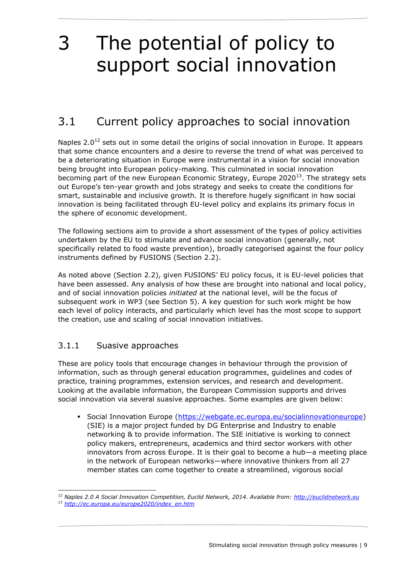## <span id="page-8-0"></span>3 The potential of policy to support social innovation

## <span id="page-8-1"></span>3.1 Current policy approaches to social innovation

Naples  $2.0^{12}$  sets out in some detail the origins of social innovation in Europe. It appears that some chance encounters and a desire to reverse the trend of what was perceived to be a deteriorating situation in Europe were instrumental in a vision for social innovation being brought into European policy-making. This culminated in social innovation becoming part of the new European Economic Strategy, Europe  $2020^{13}$ . The strategy sets out Europe's ten-year growth and jobs strategy and seeks to create the conditions for smart, sustainable and inclusive growth. It is therefore hugely significant in how social innovation is being facilitated through EU-level policy and explains its primary focus in the sphere of economic development.

The following sections aim to provide a short assessment of the types of policy activities undertaken by the EU to stimulate and advance social innovation (generally, not specifically related to food waste prevention), broadly categorised against the four policy instruments defined by FUSIONS (Section [2.2\)](#page-7-0).

As noted above (Section [2.2\)](#page-7-0), given FUSIONS' EU policy focus, it is EU-level policies that have been assessed. Any analysis of how these are brought into national and local policy, and of social innovation policies *initiated* at the national level, will be the focus of subsequent work in WP3 (see Section 5). A key question for such work might be how each level of policy interacts, and particularly which level has the most scope to support the creation, use and scaling of social innovation initiatives.

#### <span id="page-8-2"></span>3.1.1 Suasive approaches

These are policy tools that encourage changes in behaviour through the provision of information, such as through general education programmes, guidelines and codes of practice, training programmes, extension services, and research and development. Looking at the available information, the European Commission supports and drives social innovation via several suasive approaches. Some examples are given below:

 Social Innovation Europe [\(https://webgate.ec.europa.eu/socialinnovationeurope\)](https://webgate.ec.europa.eu/socialinnovationeurope) (SIE) is a major project funded by DG Enterprise and Industry to enable networking & to provide information. The SIE initiative is working to connect policy makers, entrepreneurs, academics and third sector workers with other innovators from across Europe. It is their goal to become a hub—a meeting place in the network of European networks—where innovative thinkers from all 27 member states can come together to create a streamlined, vigorous social

<sup>-</sup>*<sup>12</sup> Naples 2.0 A Social Innovation Competition, Euclid Network, 2014. Available from: [http://euclidnetwork.eu](http://euclidnetwork.eu/) <sup>13</sup> [http://ec.europa.eu/europe2020/index\\_en.htm](http://ec.europa.eu/europe2020/index_en.htm)*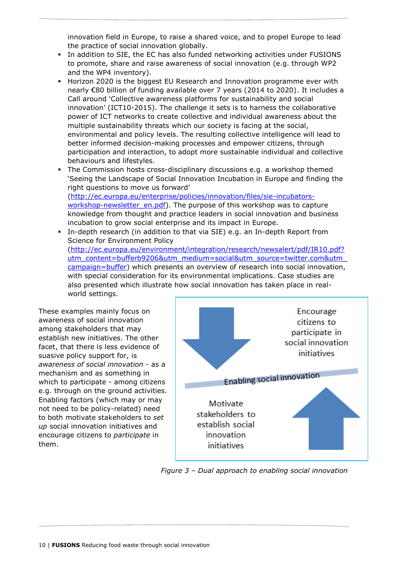innovation field in Europe, to raise a shared voice, and to propel Europe to lead the practice of social innovation globally.

- In addition to SIE, the EC has also funded networking activities under FUSIONS to promote, share and raise awareness of social innovation (e.g. through WP2 and the WP4 inventory).
- **H** Horizon 2020 is the biggest EU Research and Innovation programme ever with nearly €80 billion of funding available over 7 years (2014 to 2020). It includes a Call around 'Collective awareness platforms for sustainability and social innovation' (ICT10-2015). The challenge it sets is to harness the collaborative power of ICT networks to create collective and individual awareness about the multiple sustainability threats which our society is facing at the social, environmental and policy levels. The resulting collective intelligence will lead to better informed decision-making processes and empower citizens, through participation and interaction, to adopt more sustainable individual and collective behaviours and lifestyles.
- The Commission hosts cross-disciplinary discussions e.g. a workshop themed 'Seeing the Landscape of Social Innovation Incubation in Europe and finding the right questions to move us forward' [\(http://ec.europa.eu/enterprise/policies/innovation/files/sie-incubators-](http://ec.europa.eu/enterprise/policies/innovation/files/sie-incubators-workshop-newsletter_en.pdf)

[workshop-newsletter\\_en.pdf\)](http://ec.europa.eu/enterprise/policies/innovation/files/sie-incubators-workshop-newsletter_en.pdf). The purpose of this workshop was to capture knowledge from thought and practice leaders in social innovation and business incubation to grow social enterprise and its impact in Europe.

 In-depth research (in addition to that via SIE) e.g. an In-depth Report from Science for Environment Policy

[\(http://ec.europa.eu/environment/integration/research/newsalert/pdf/IR10.pdf?](http://ec.europa.eu/environment/integration/research/newsalert/pdf/IR10.pdf?utm_content=bufferb9206&utm_medium=social&utm_source=twitter.com&utm_campaign=buffer) utm\_content=bufferb9206&utm\_medium=social&utm\_source=twitter.com&utm [campaign=buffer\)](http://ec.europa.eu/environment/integration/research/newsalert/pdf/IR10.pdf?utm_content=bufferb9206&utm_medium=social&utm_source=twitter.com&utm_campaign=buffer) which presents an overview of research into social innovation, with special consideration for its environmental implications. Case studies are also presented which illustrate how social innovation has taken place in realworld settings.

These examples mainly focus on awareness of social innovation among stakeholders that may establish new initiatives. The other facet, that there is less evidence of suasive policy support for, is *awareness of social innovation* - as a mechanism and as something in which to participate - among citizens e.g. through on the ground activities. Enabling factors (which may or may not need to be policy-related) need to both motivate stakeholders to *set up* social innovation initiatives and encourage citizens to *participate* in them.



*Figure 3 – Dual approach to enabling social innovation*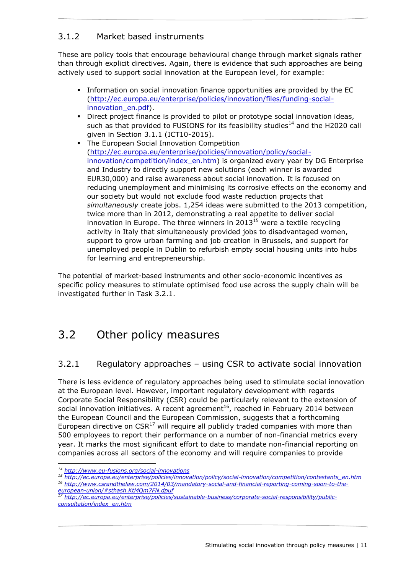#### <span id="page-10-0"></span>3.1.2 Market based instruments

These are policy tools that encourage behavioural change through market signals rather than through explicit directives. Again, there is evidence that such approaches are being actively used to support social innovation at the European level, for example:

- Information on social innovation finance opportunities are provided by the EC [\(http://ec.europa.eu/enterprise/policies/innovation/files/funding-social](http://ec.europa.eu/enterprise/policies/innovation/files/funding-social-innovation_en.pdf)[innovation\\_en.pdf\)](http://ec.europa.eu/enterprise/policies/innovation/files/funding-social-innovation_en.pdf).
- Direct project finance is provided to pilot or prototype social innovation ideas, such as that provided to FUSIONS for its feasibility studies<sup>14</sup> and the H2020 call given in Section [3.1.1](#page-8-2) (ICT10-2015).
- The European Social Innovation Competition [\(http://ec.europa.eu/enterprise/policies/innovation/policy/social](http://ec.europa.eu/enterprise/policies/innovation/policy/social-innovation/competition/index_en.htm)[innovation/competition/index\\_en.htm\)](http://ec.europa.eu/enterprise/policies/innovation/policy/social-innovation/competition/index_en.htm) is organized every year by DG Enterprise and Industry to directly support new solutions (each winner is awarded EUR30,000) and raise awareness about social innovation. It is focused on reducing unemployment and minimising its corrosive effects on the economy and our society but would not exclude food waste reduction projects that *simultaneously* create jobs. 1,254 ideas were submitted to the 2013 competition, twice more than in 2012, demonstrating a real appetite to deliver social innovation in Europe. The three winners in  $2013^{15}$  were a textile recycling activity in Italy that simultaneously provided jobs to disadvantaged women, support to grow urban farming and job creation in Brussels, and support for unemployed people in Dublin to refurbish empty social housing units into hubs for learning and entrepreneurship.

<span id="page-10-1"></span>The potential of market-based instruments and other socio-economic incentives as specific policy measures to stimulate optimised food use across the supply chain will be investigated further in Task 3.2.1.

## 3.2 Other policy measures

#### <span id="page-10-2"></span>3.2.1 Regulatory approaches – using CSR to activate social innovation

There is less evidence of regulatory approaches being used to stimulate social innovation at the European level. However, important regulatory development with regards Corporate Social Responsibility (CSR) could be particularly relevant to the extension of social innovation initiatives. A recent agreement<sup>16</sup>, reached in February 2014 between the European Council and the European Commission, suggests that a forthcoming European directive on  $CSR<sup>17</sup>$  will require all publicly traded companies with more than 500 employees to report their performance on a number of non-financial metrics every year. It marks the most significant effort to date to mandate non-financial reporting on companies across all sectors of the economy and will require companies to provide

*<sup>14</sup> <http://www.eu-fusions.org/social-innovations>*

*<sup>15</sup> [http://ec.europa.eu/enterprise/policies/innovation/policy/social-innovation/competition/contestants\\_en.htm](http://ec.europa.eu/enterprise/policies/innovation/policy/social-innovation/competition/contestants_en.htm)*

*<sup>16</sup> [http://www.csrandthelaw.com/2014/03/mandatory-social-and-financial-reporting-coming-soon-to-the](http://www.csrandthelaw.com/2014/03/mandatory-social-and-financial-reporting-coming-soon-to-the-european-union/#sthash.KtMQm7FN.dpuf)[european-union/#sthash.KtMQm7FN.dpuf](http://www.csrandthelaw.com/2014/03/mandatory-social-and-financial-reporting-coming-soon-to-the-european-union/#sthash.KtMQm7FN.dpuf)*

*<sup>17</sup> [http://ec.europa.eu/enterprise/policies/sustainable-business/corporate-social-responsibility/public](http://ec.europa.eu/enterprise/policies/sustainable-business/corporate-social-responsibility/public-consultation/index_en.htm)[consultation/index\\_en.htm](http://ec.europa.eu/enterprise/policies/sustainable-business/corporate-social-responsibility/public-consultation/index_en.htm)*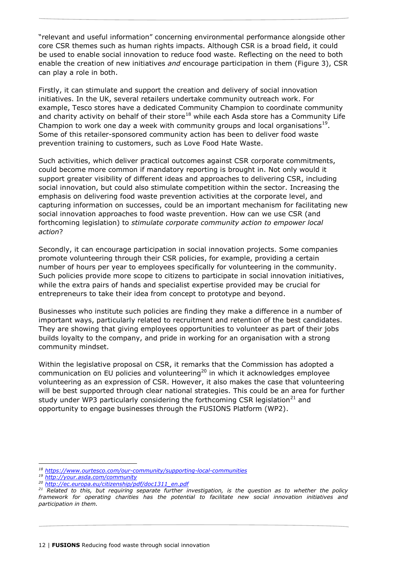"relevant and useful information" concerning environmental performance alongside other core CSR themes such as human rights impacts. Although CSR is a broad field, it could be used to enable social innovation to reduce food waste. Reflecting on the need to both enable the creation of new initiatives *and* encourage participation in them (Figure 3), CSR can play a role in both.

Firstly, it can stimulate and support the creation and delivery of social innovation initiatives. In the UK, several retailers undertake community outreach work. For example, Tesco stores have a dedicated Community Champion to coordinate community and charity activity on behalf of their store<sup>18</sup> while each Asda store has a Community Life Champion to work one day a week with community groups and local organisations $^{19}$ . Some of this retailer-sponsored community action has been to deliver food waste prevention training to customers, such as Love Food Hate Waste.

Such activities, which deliver practical outcomes against CSR corporate commitments, could become more common if mandatory reporting is brought in. Not only would it support greater visibility of different ideas and approaches to delivering CSR, including social innovation, but could also stimulate competition within the sector. Increasing the emphasis on delivering food waste prevention activities at the corporate level, and capturing information on successes, could be an important mechanism for facilitating new social innovation approaches to food waste prevention. How can we use CSR (and forthcoming legislation) to *stimulate corporate community action to empower local action*?

Secondly, it can encourage participation in social innovation projects. Some companies promote volunteering through their CSR policies, for example, providing a certain number of hours per year to employees specifically for volunteering in the community. Such policies provide more scope to citizens to participate in social innovation initiatives, while the extra pairs of hands and specialist expertise provided may be crucial for entrepreneurs to take their idea from concept to prototype and beyond.

Businesses who institute such policies are finding they make a difference in a number of important ways, particularly related to recruitment and retention of the best candidates. They are showing that giving employees opportunities to volunteer as part of their jobs builds loyalty to the company, and pride in working for an organisation with a strong community mindset.

Within the legislative proposal on CSR, it remarks that the Commission has adopted a communication on EU policies and volunteering<sup>20</sup> in which it acknowledges employee volunteering as an expression of CSR. However, it also makes the case that volunteering will be best supported through clear national strategies. This could be an area for further study under WP3 particularly considering the forthcoming CSR legislation<sup>21</sup> and opportunity to engage businesses through the FUSIONS Platform (WP2).

*<sup>18</sup> <https://www.ourtesco.com/our-community/supporting-local-communities>*

*<sup>19</sup> <http://your.asda.com/community>*

*<sup>20</sup> [http://ec.europa.eu/citizenship/pdf/doc1311\\_en.pdf](http://ec.europa.eu/citizenship/pdf/doc1311_en.pdf)*

*<sup>21</sup> Related to this, but requiring separate further investigation, is the question as to whether the policy framework for operating charities has the potential to facilitate new social innovation initiatives and participation in them.*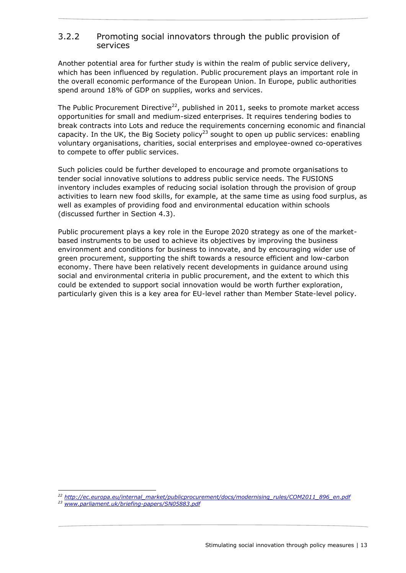#### <span id="page-12-0"></span>3.2.2 Promoting social innovators through the public provision of services

Another potential area for further study is within the realm of public service delivery, which has been influenced by regulation. Public procurement plays an important role in the overall economic performance of the European Union. In Europe, public authorities spend around 18% of GDP on supplies, works and services.

The Public Procurement Directive<sup>22</sup>, published in 2011, seeks to promote market access opportunities for small and medium-sized enterprises. It requires tendering bodies to break contracts into Lots and reduce the requirements concerning economic and financial capacity. In the UK, the Big Society policy<sup>23</sup> sought to open up public services: enabling voluntary organisations, charities, social enterprises and employee-owned co-operatives to compete to offer public services.

Such policies could be further developed to encourage and promote organisations to tender social innovative solutions to address public service needs. The FUSIONS inventory includes examples of reducing social isolation through the provision of group activities to learn new food skills, for example, at the same time as using food surplus, as well as examples of providing food and environmental education within schools (discussed further in Section [4.3\)](#page-18-1).

Public procurement plays a key role in the Europe 2020 strategy as one of the marketbased instruments to be used to achieve its objectives by improving the business environment and conditions for business to innovate, and by encouraging wider use of green procurement, supporting the shift towards a resource efficient and low-carbon economy. There have been relatively recent developments in guidance around using social and environmental criteria in public procurement, and the extent to which this could be extended to support social innovation would be worth further exploration, particularly given this is a key area for EU-level rather than Member State-level policy.

*<sup>22</sup> http://ec.europa.eu/internal\_market/publicprocurement/docs/modernising\_rules/COM2011\_896\_en.pdf <sup>23</sup> www.parliament.uk/briefing-papers/SN05883.pdf*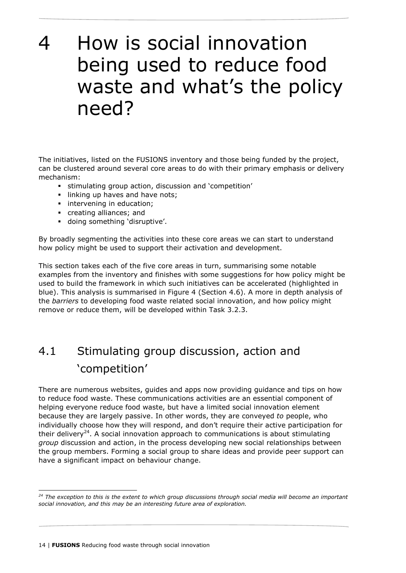## <span id="page-13-0"></span>4 How is social innovation being used to reduce food waste and what's the policy need?

The initiatives, listed on the FUSIONS inventory and those being funded by the project, can be clustered around several core areas to do with their primary emphasis or delivery mechanism:

- stimulating group action, discussion and 'competition'
- Inking up haves and have nots;
- **intervening in education;**
- creating alliances; and
- doing something 'disruptive'.

By broadly segmenting the activities into these core areas we can start to understand how policy might be used to support their activation and development.

This section takes each of the five core areas in turn, summarising some notable examples from the inventory and finishes with some suggestions for how policy might be used to build the framework in which such initiatives can be accelerated (highlighted in blue). This analysis is summarised in Figure 4 (Section [4.6\)](#page-23-0). A more in depth analysis of the *barriers* to developing food waste related social innovation, and how policy might remove or reduce them, will be developed within Task 3.2.3.

## <span id="page-13-1"></span>4.1 Stimulating group discussion, action and 'competition'

There are numerous websites, guides and apps now providing guidance and tips on how to reduce food waste. These communications activities are an essential component of helping everyone reduce food waste, but have a limited social innovation element because they are largely passive. In other words, they are conveyed *to* people, who individually choose how they will respond, and don't require their active participation for their delivery<sup>24</sup>. A social innovation approach to communications is about stimulating *group* discussion and action, in the process developing new social relationships between the group members. Forming a social group to share ideas and provide peer support can have a significant impact on behaviour change.

<sup>-</sup>*<sup>24</sup> The exception to this is the extent to which group discussions through social media will become an important social innovation, and this may be an interesting future area of exploration.*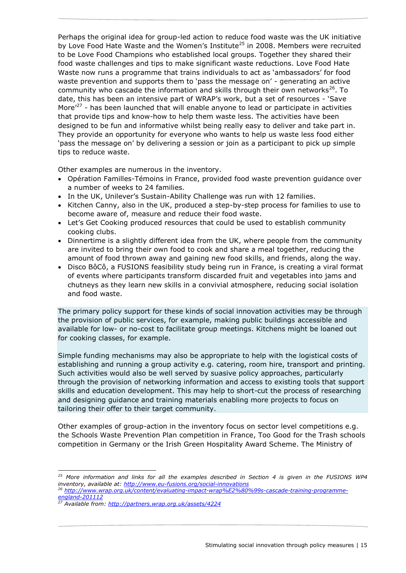Perhaps the original idea for group-led action to reduce food waste was the UK initiative by Love Food Hate Waste and the Women's Institute<sup>25</sup> in 2008. Members were recruited to be Love Food Champions who established local groups. Together they shared their food waste challenges and tips to make significant waste reductions. Love Food Hate Waste now runs a programme that trains individuals to act as 'ambassadors' for food waste prevention and supports them to 'pass the message on' - generating an active community who cascade the information and skills through their own networks $^{26}$ . To date, this has been an intensive part of WRAP's work, but a set of resources - 'Save More $^{27}$  - has been launched that will enable anyone to lead or participate in activities that provide tips and know-how to help them waste less. The activities have been designed to be fun and informative whilst being really easy to deliver and take part in. They provide an opportunity for everyone who wants to help us waste less food either 'pass the message on' by delivering a session or join as a participant to pick up simple tips to reduce waste.

Other examples are numerous in the inventory.

- Opération Familles-Témoins in France, provided food waste prevention guidance over a number of weeks to 24 families.
- In the UK, Unilever's Sustain-Ability Challenge was run with 12 families.
- Kitchen Canny, also in the UK, produced a step-by-step process for families to use to become aware of, measure and reduce their food waste.
- Let's Get Cooking produced resources that could be used to establish community cooking clubs.
- Dinnertime is a slightly different idea from the UK, where people from the community are invited to bring their own food to cook and share a meal together, reducing the amount of food thrown away and gaining new food skills, and friends, along the way.
- Disco BôCô, a FUSIONS feasibility study being run in France, is creating a viral format of events where participants transform discarded fruit and vegetables into jams and chutneys as they learn new skills in a convivial atmosphere, reducing social isolation and food waste.

The primary policy support for these kinds of social innovation activities may be through the provision of public services, for example, making public buildings accessible and available for low- or no-cost to facilitate group meetings. Kitchens might be loaned out for cooking classes, for example.

Simple funding mechanisms may also be appropriate to help with the logistical costs of establishing and running a group activity e.g. catering, room hire, transport and printing. Such activities would also be well served by suasive policy approaches, particularly through the provision of networking information and access to existing tools that support skills and education development. This may help to short-cut the process of researching and designing guidance and training materials enabling more projects to focus on tailoring their offer to their target community.

Other examples of group-action in the inventory focus on sector level competitions e.g. the Schools Waste Prevention Plan competition in France, Too Good for the Trash schools competition in Germany or the Irish Green Hospitality Award Scheme. The Ministry of

*<sup>25</sup> More information and links for all the examples described in Section [4](#page-13-0) is given in the FUSIONS WP4 inventory, available at:<http://www.eu-fusions.org/social-innovations> <sup>26</sup> [http://www.wrap.org.uk/content/evaluating-impact-wrap%E2%80%99s-cascade-training-programme-](http://www.wrap.org.uk/content/evaluating-impact-wrap%E2%80%99s-cascade-training-programme-england-201112)*

*[england-201112](http://www.wrap.org.uk/content/evaluating-impact-wrap%E2%80%99s-cascade-training-programme-england-201112)*

*<sup>27</sup> Available from: [http://partners.wrap.org.uk/assets/4224](http://partners.wrap.org.uk/assets/4224/)*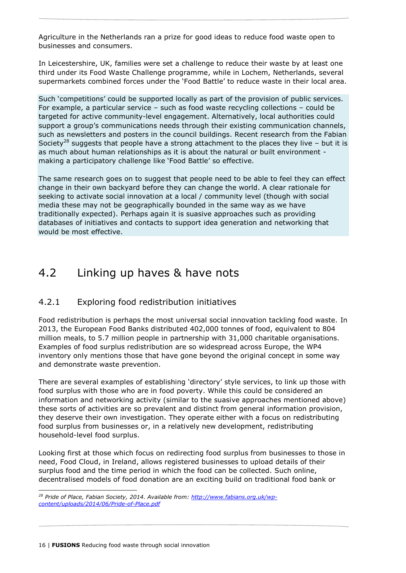Agriculture in the Netherlands ran a prize for good ideas to reduce food waste open to businesses and consumers.

In Leicestershire, UK, families were set a challenge to reduce their waste by at least one third under its Food Waste Challenge programme, while in Lochem, Netherlands, several supermarkets combined forces under the 'Food Battle' to reduce waste in their local area.

Such 'competitions' could be supported locally as part of the provision of public services. For example, a particular service – such as food waste recycling collections – could be targeted for active community-level engagement. Alternatively, local authorities could support a group's communications needs through their existing communication channels, such as newsletters and posters in the council buildings. Recent research from the Fabian Society<sup>28</sup> suggests that people have a strong attachment to the places they live  $-$  but it is as much about human relationships as it is about the natural or built environment making a participatory challenge like 'Food Battle' so effective.

The same research goes on to suggest that people need to be able to feel they can effect change in their own backyard before they can change the world. A clear rationale for seeking to activate social innovation at a local / community level (though with social media these may not be geographically bounded in the same way as we have traditionally expected). Perhaps again it is suasive approaches such as providing databases of initiatives and contacts to support idea generation and networking that would be most effective.

### <span id="page-15-0"></span>4.2 Linking up haves & have nots

#### <span id="page-15-1"></span>4.2.1 Exploring food redistribution initiatives

Food redistribution is perhaps the most universal social innovation tackling food waste. In 2013, the European Food Banks distributed 402,000 tonnes of food, equivalent to 804 million meals, to 5.7 million people in partnership with 31,000 charitable organisations. Examples of food surplus redistribution are so widespread across Europe, the WP4 inventory only mentions those that have gone beyond the original concept in some way and demonstrate waste prevention.

There are several examples of establishing 'directory' style services, to link up those with food surplus with those who are in food poverty. While this could be considered an information and networking activity (similar to the suasive approaches mentioned above) these sorts of activities are so prevalent and distinct from general information provision, they deserve their own investigation. They operate either with a focus on redistributing food surplus from businesses or, in a relatively new development, redistributing household-level food surplus.

Looking first at those which focus on redirecting food surplus from businesses to those in need, Food Cloud, in Ireland, allows registered businesses to upload details of their surplus food and the time period in which the food can be collected. Such online, decentralised models of food donation are an exciting build on traditional food bank or

*<sup>28</sup> Pride of Place, Fabian Society, 2014. Available from: [http://www.fabians.org.uk/wp](http://www.fabians.org.uk/wp-content/uploads/2014/06/Pride-of-Place.pdf)[content/uploads/2014/06/Pride-of-Place.pdf](http://www.fabians.org.uk/wp-content/uploads/2014/06/Pride-of-Place.pdf)*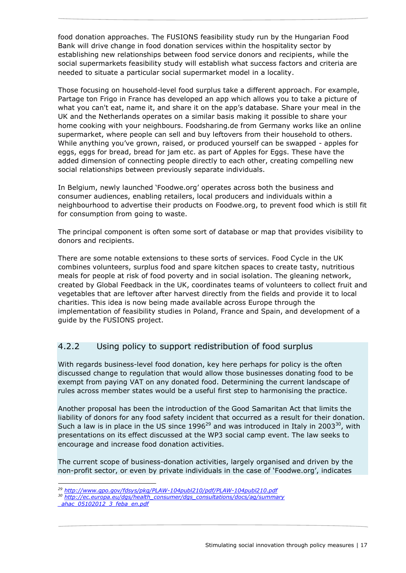food donation approaches. The FUSIONS feasibility study run by the Hungarian Food Bank will drive change in food donation services within the hospitality sector by establishing new relationships between food service donors and recipients, while the social supermarkets feasibility study will establish what success factors and criteria are needed to situate a particular social supermarket model in a locality.

Those focusing on household-level food surplus take a different approach. For example, Partage ton Frigo in France has developed an app which allows you to take a picture of what you can't eat, name it, and share it on the app's database. Share your meal in the UK and the Netherlands operates on a similar basis making it possible to share your home cooking with your neighbours. Foodsharing.de from Germany works like an online supermarket, where people can sell and buy leftovers from their household to others. While anything you've grown, raised, or produced yourself can be swapped - apples for eggs, eggs for bread, bread for jam etc. as part of Apples for Eggs. These have the added dimension of connecting people directly to each other, creating compelling new social relationships between previously separate individuals.

In Belgium, newly launched 'Foodwe.org' operates across both the business and consumer audiences, enabling retailers, local producers and individuals within a neighbourhood to advertise their products on Foodwe.org, to prevent food which is still fit for consumption from going to waste.

The principal component is often some sort of database or map that provides visibility to donors and recipients.

There are some notable extensions to these sorts of services. Food Cycle in the UK combines volunteers, surplus food and spare kitchen spaces to create tasty, nutritious meals for people at risk of food poverty and in social isolation. The gleaning network, created by Global Feedback in the UK, coordinates teams of volunteers to collect fruit and vegetables that are leftover after harvest directly from the fields and provide it to local charities. This idea is now being made available across Europe through the implementation of feasibility studies in Poland, France and Spain, and development of a guide by the FUSIONS project.

#### <span id="page-16-0"></span>4.2.2 Using policy to support redistribution of food surplus

With regards business-level food donation, key here perhaps for policy is the often discussed change to regulation that would allow those businesses donating food to be exempt from paying VAT on any donated food. Determining the current landscape of rules across member states would be a useful first step to harmonising the practice.

Another proposal has been the introduction of the Good Samaritan Act that limits the liability of donors for any food safety incident that occurred as a result for their donation. Such a law is in place in the US since  $1996^{29}$  and was introduced in Italy in 2003<sup>30</sup>, with presentations on its effect discussed at the WP3 social camp event. The law seeks to encourage and increase food donation activities.

The current scope of business-donation activities, largely organised and driven by the non-profit sector, or even by private individuals in the case of 'Foodwe.org', indicates

*[\\_ahac\\_05102012\\_3\\_feba\\_en.pdf](http://ec.europa.eu/dgs/health_consumer/dgs_consultations/docs/ag/summary_ahac_05102012_3_feba_en.pdf)*

*<sup>29</sup> <http://www.gpo.gov/fdsys/pkg/PLAW-104publ210/pdf/PLAW-104publ210.pdf>*

*<sup>30</sup> [http://ec.europa.eu/dgs/health\\_consumer/dgs\\_consultations/docs/ag/summary](http://ec.europa.eu/dgs/health_consumer/dgs_consultations/docs/ag/summary_ahac_05102012_3_feba_en.pdf)*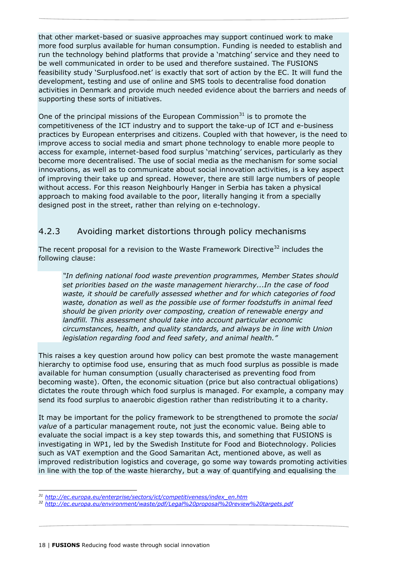that other market-based or suasive approaches may support continued work to make more food surplus available for human consumption. Funding is needed to establish and run the technology behind platforms that provide a 'matching' service and they need to be well communicated in order to be used and therefore sustained. The FUSIONS feasibility study 'Surplusfood.net' is exactly that sort of action by the EC. It will fund the development, testing and use of online and SMS tools to decentralise food donation activities in Denmark and provide much needed evidence about the barriers and needs of supporting these sorts of initiatives.

One of the principal missions of the European Commission $31$  is to promote the competitiveness of the ICT industry and to support the take-up of ICT and e-business practices by European enterprises and citizens. Coupled with that however, is the need to improve access to social media and smart phone technology to enable more people to access for example, internet-based food surplus 'matching' services, particularly as they become more decentralised. The use of social media as the mechanism for some social innovations, as well as to communicate about social innovation activities, is a key aspect of improving their take up and spread. However, there are still large numbers of people without access. For this reason Neighbourly Hanger in Serbia has taken a physical approach to making food available to the poor, literally hanging it from a specially designed post in the street, rather than relying on e-technology.

#### <span id="page-17-0"></span>4.2.3 Avoiding market distortions through policy mechanisms

The recent proposal for a revision to the Waste Framework Directive $32$  includes the following clause:

*"In defining national food waste prevention programmes, Member States should set priorities based on the waste management hierarchy...In the case of food waste, it should be carefully assessed whether and for which categories of food waste, donation as well as the possible use of former foodstuffs in animal feed should be given priority over composting, creation of renewable energy and landfill. This assessment should take into account particular economic circumstances, health, and quality standards, and always be in line with Union legislation regarding food and feed safety, and animal health."*

This raises a key question around how policy can best promote the waste management hierarchy to optimise food use, ensuring that as much food surplus as possible is made available for human consumption (usually characterised as preventing food from becoming waste). Often, the economic situation (price but also contractual obligations) dictates the route through which food surplus is managed. For example, a company may send its food surplus to anaerobic digestion rather than redistributing it to a charity.

It may be important for the policy framework to be strengthened to promote the *social value* of a particular management route, not just the economic value. Being able to evaluate the social impact is a key step towards this, and something that FUSIONS is investigating in WP1, led by the Swedish Institute for Food and Biotechnology. Policies such as VAT exemption and the Good Samaritan Act, mentioned above, as well as improved redistribution logistics and coverage, go some way towards promoting activities in line with the top of the waste hierarchy, but a way of quantifying and equalising the

*<sup>31</sup> [http://ec.europa.eu/enterprise/sectors/ict/competitiveness/index\\_en.htm](http://ec.europa.eu/enterprise/sectors/ict/competitiveness/index_en.htm)*

*<sup>32</sup> <http://ec.europa.eu/environment/waste/pdf/Legal%20proposal%20review%20targets.pdf>*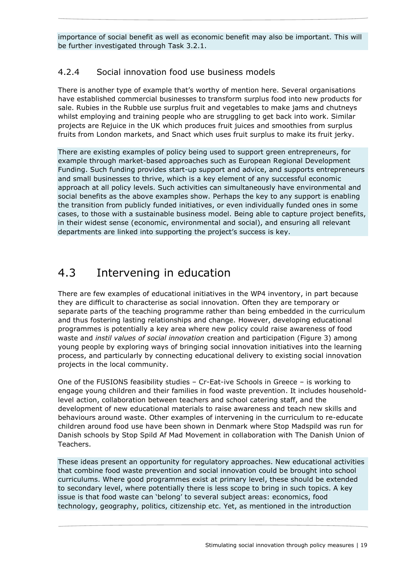importance of social benefit as well as economic benefit may also be important. This will be further investigated through Task 3.2.1.

#### <span id="page-18-0"></span>4.2.4 Social innovation food use business models

There is another type of example that's worthy of mention here. Several organisations have established commercial businesses to transform surplus food into new products for sale. Rubies in the Rubble use surplus fruit and vegetables to make jams and chutneys whilst employing and training people who are struggling to get back into work. Similar projects are Rejuice in the UK which produces fruit juices and smoothies from surplus fruits from London markets, and Snact which uses fruit surplus to make its fruit jerky.

There are existing examples of policy being used to support green entrepreneurs, for example through market-based approaches such as European Regional Development Funding. Such funding provides start-up support and advice, and supports entrepreneurs and small businesses to thrive, which is a key element of any successful economic approach at all policy levels. Such activities can simultaneously have environmental and social benefits as the above examples show. Perhaps the key to any support is enabling the transition from publicly funded initiatives, or even individually funded ones in some cases, to those with a sustainable business model. Being able to capture project benefits, in their widest sense (economic, environmental and social), and ensuring all relevant departments are linked into supporting the project's success is key.

### <span id="page-18-1"></span>4.3 Intervening in education

There are few examples of educational initiatives in the WP4 inventory, in part because they are difficult to characterise as social innovation. Often they are temporary or separate parts of the teaching programme rather than being embedded in the curriculum and thus fostering lasting relationships and change. However, developing educational programmes is potentially a key area where new policy could raise awareness of food waste and *instil values of social innovation* creation and participation (Figure 3) among young people by exploring ways of bringing social innovation initiatives into the learning process, and particularly by connecting educational delivery to existing social innovation projects in the local community.

One of the FUSIONS feasibility studies – Cr-Eat-ive Schools in Greece – is working to engage young children and their families in food waste prevention. It includes householdlevel action, collaboration between teachers and school catering staff, and the development of new educational materials to raise awareness and teach new skills and behaviours around waste. Other examples of intervening in the curriculum to re-educate children around food use have been shown in Denmark where Stop Madspild was run for Danish schools by Stop Spild Af Mad Movement in collaboration with The Danish Union of Teachers.

These ideas present an opportunity for regulatory approaches. New educational activities that combine food waste prevention and social innovation could be brought into school curriculums. Where good programmes exist at primary level, these should be extended to secondary level, where potentially there is less scope to bring in such topics. A key issue is that food waste can 'belong' to several subject areas: economics, food technology, geography, politics, citizenship etc. Yet, as mentioned in the introduction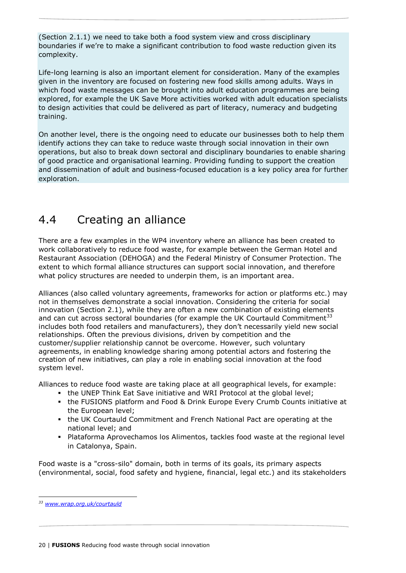(Section [2.1.1\)](#page-5-0) we need to take both a food system view and cross disciplinary boundaries if we're to make a significant contribution to food waste reduction given its complexity.

Life-long learning is also an important element for consideration. Many of the examples given in the inventory are focused on fostering new food skills among adults. Ways in which food waste messages can be brought into adult education programmes are being explored, for example the UK Save More activities worked with adult education specialists to design activities that could be delivered as part of literacy, numeracy and budgeting training.

On another level, there is the ongoing need to educate our businesses both to help them identify actions they can take to reduce waste through social innovation in their own operations, but also to break down sectoral and disciplinary boundaries to enable sharing of good practice and organisational learning. Providing funding to support the creation and dissemination of adult and business-focused education is a key policy area for further exploration.

### <span id="page-19-0"></span>4.4 Creating an alliance

There are a few examples in the WP4 inventory where an alliance has been created to work collaboratively to reduce food waste, for example between the German Hotel and Restaurant Association (DEHOGA) and the Federal Ministry of Consumer Protection. The extent to which formal alliance structures can support social innovation, and therefore what policy structures are needed to underpin them, is an important area.

Alliances (also called voluntary agreements, frameworks for action or platforms etc.) may not in themselves demonstrate a social innovation. Considering the criteria for social innovation (Section [2.1\)](#page-4-1), while they are often a new combination of existing elements and can cut across sectoral boundaries (for example the UK Courtauld Commitment<sup>33</sup> includes both food retailers and manufacturers), they don't necessarily yield new social relationships. Often the previous divisions, driven by competition and the customer/supplier relationship cannot be overcome. However, such voluntary agreements, in enabling knowledge sharing among potential actors and fostering the creation of new initiatives, can play a role in enabling social innovation at the food system level.

Alliances to reduce food waste are taking place at all geographical levels, for example:

- the UNEP Think Eat Save initiative and WRI Protocol at the global level;
- the FUSIONS platform and Food & Drink Europe Every Crumb Counts initiative at the European level;
- the UK Courtauld Commitment and French National Pact are operating at the national level; and
- Plataforma Aprovechamos los Alimentos, tackles food waste at the regional level in Catalonya, Spain.

Food waste is a "cross-silo" domain, both in terms of its goals, its primary aspects (environmental, social, food safety and hygiene, financial, legal etc.) and its stakeholders

<sup>-</sup>*<sup>33</sup> [www.wrap.org.uk/courtauld](http://www.wrap.org.uk/courtauld)*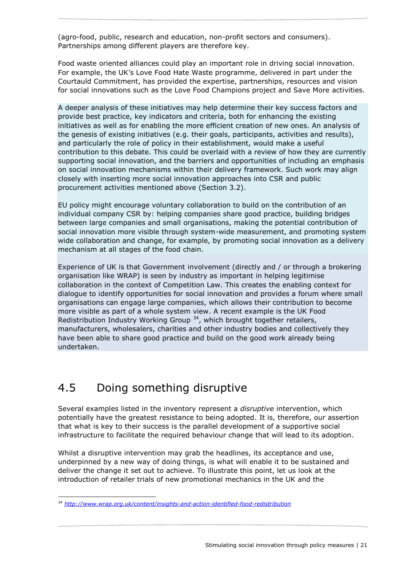(agro-food, public, research and education, non-profit sectors and consumers). Partnerships among different players are therefore key.

Food waste oriented alliances could play an important role in driving social innovation. For example, the UK's Love Food Hate Waste programme, delivered in part under the Courtauld Commitment, has provided the expertise, partnerships, resources and vision for social innovations such as the Love Food Champions project and Save More activities.

A deeper analysis of these initiatives may help determine their key success factors and provide best practice, key indicators and criteria, both for enhancing the existing initiatives as well as for enabling the more efficient creation of new ones. An analysis of the genesis of existing initiatives (e.g. their goals, participants, activities and results), and particularly the role of policy in their establishment, would make a useful contribution to this debate. This could be overlaid with a review of how they are currently supporting social innovation, and the barriers and opportunities of including an emphasis on social innovation mechanisms within their delivery framework. Such work may align closely with inserting more social innovation approaches into CSR and public procurement activities mentioned above (Section [3.2\)](#page-10-1).

EU policy might encourage voluntary collaboration to build on the contribution of an individual company CSR by: helping companies share good practice, building bridges between large companies and small organisations, making the potential contribution of social innovation more visible through system-wide measurement, and promoting system wide collaboration and change, for example, by promoting social innovation as a delivery mechanism at all stages of the food chain.

Experience of UK is that Government involvement (directly and / or through a brokering organisation like WRAP) is seen by industry as important in helping legitimise collaboration in the context of Competition Law. This creates the enabling context for dialogue to identify opportunities for social innovation and provides a forum where small organisations can engage large companies, which allows their contribution to become more visible as part of a whole system view. A recent example is the UK Food Redistribution Industry Working Group  $34$ , which brought together retailers, manufacturers, wholesalers, charities and other industry bodies and collectively they have been able to share good practice and build on the good work already being undertaken.

### <span id="page-20-0"></span>4.5 Doing something disruptive

-

Several examples listed in the inventory represent a *disruptive* intervention, which potentially have the greatest resistance to being adopted. It is, therefore, our assertion that what is key to their success is the parallel development of a supportive social infrastructure to facilitate the required behaviour change that will lead to its adoption.

Whilst a disruptive intervention may grab the headlines, its acceptance and use, underpinned by a new way of doing things, is what will enable it to be sustained and deliver the change it set out to achieve. To illustrate this point, let us look at the introduction of retailer trials of new promotional mechanics in the UK and the

*<sup>34</sup> <http://www.wrap.org.uk/content/insights-and-action-identified-food-redistribution>*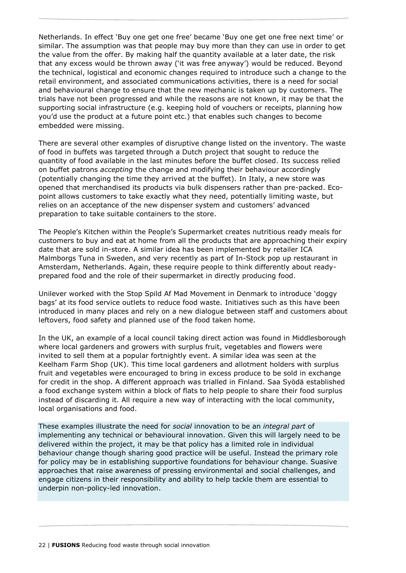Netherlands. In effect 'Buy one get one free' became 'Buy one get one free next time' or similar. The assumption was that people may buy more than they can use in order to get the value from the offer. By making half the quantity available at a later date, the risk that any excess would be thrown away ('it was free anyway') would be reduced. Beyond the technical, logistical and economic changes required to introduce such a change to the retail environment, and associated communications activities, there is a need for social and behavioural change to ensure that the new mechanic is taken up by customers. The trials have not been progressed and while the reasons are not known, it may be that the supporting social infrastructure (e.g. keeping hold of vouchers or receipts, planning how you'd use the product at a future point etc.) that enables such changes to become embedded were missing.

There are several other examples of disruptive change listed on the inventory. The waste of food in buffets was targeted through a Dutch project that sought to reduce the quantity of food available in the last minutes before the buffet closed. Its success relied on buffet patrons *accepting* the change and modifying their behaviour accordingly (potentially changing the time they arrived at the buffet). In Italy, a new store was opened that merchandised its products via bulk dispensers rather than pre-packed. Ecopoint allows customers to take exactly what they need, potentially limiting waste, but relies on an acceptance of the new dispenser system and customers' advanced preparation to take suitable containers to the store.

The People's Kitchen within the People's Supermarket creates nutritious ready meals for customers to buy and eat at home from all the products that are approaching their expiry date that are sold in-store. A similar idea has been implemented by retailer ICA Malmborgs Tuna in Sweden, and very recently as part of In-Stock pop up restaurant in Amsterdam, Netherlands. Again, these require people to think differently about readyprepared food and the role of their supermarket in directly producing food.

Unilever worked with the Stop Spild Af Mad Movement in Denmark to introduce 'doggy bags' at its food service outlets to reduce food waste. Initiatives such as this have been introduced in many places and rely on a new dialogue between staff and customers about leftovers, food safety and planned use of the food taken home.

In the UK, an example of a local council taking direct action was found in Middlesborough where local gardeners and growers with surplus fruit, vegetables and flowers were invited to sell them at a popular fortnightly event. A similar idea was seen at the Keelham Farm Shop (UK). This time local gardeners and allotment holders with surplus fruit and vegetables were encouraged to bring in excess produce to be sold in exchange for credit in the shop. A different approach was trialled in Finland. Saa Syödä established a food exchange system within a block of flats to help people to share their food surplus instead of discarding it. All require a new way of interacting with the local community, local organisations and food.

These examples illustrate the need for *social* innovation to be an *integral part* of implementing any technical or behavioural innovation. Given this will largely need to be delivered within the project, it may be that policy has a limited role in individual behaviour change though sharing good practice will be useful. Instead the primary role for policy may be in establishing supportive foundations for behaviour change. Suasive approaches that raise awareness of pressing environmental and social challenges, and engage citizens in their responsibility and ability to help tackle them are essential to underpin non-policy-led innovation.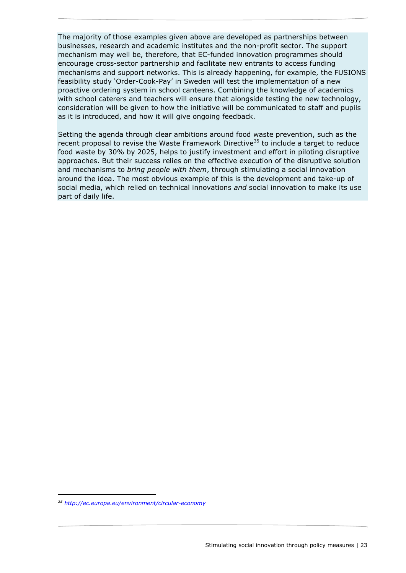The majority of those examples given above are developed as partnerships between businesses, research and academic institutes and the non-profit sector. The support mechanism may well be, therefore, that EC-funded innovation programmes should encourage cross-sector partnership and facilitate new entrants to access funding mechanisms and support networks. This is already happening, for example, the FUSIONS feasibility study 'Order-Cook-Pay' in Sweden will test the implementation of a new proactive ordering system in school canteens. Combining the knowledge of academics with school caterers and teachers will ensure that alongside testing the new technology, consideration will be given to how the initiative will be communicated to staff and pupils as it is introduced, and how it will give ongoing feedback.

Setting the agenda through clear ambitions around food waste prevention, such as the recent proposal to revise the Waste Framework Directive<sup>35</sup> to include a target to reduce food waste by 30% by 2025, helps to justify investment and effort in piloting disruptive approaches. But their success relies on the effective execution of the disruptive solution and mechanisms to *bring people with them*, through stimulating a social innovation around the idea. The most obvious example of this is the development and take-up of social media, which relied on technical innovations *and* social innovation to make its use part of daily life.

*<sup>35</sup> <http://ec.europa.eu/environment/circular-economy>*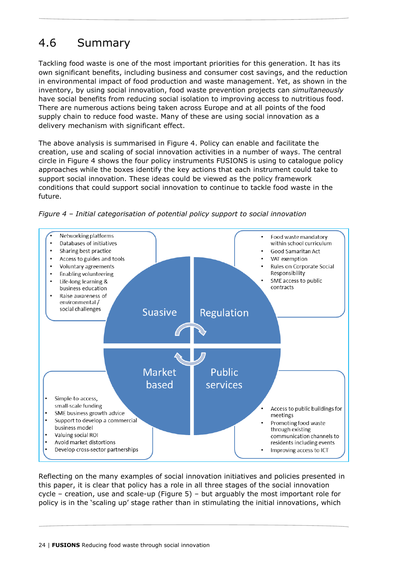## <span id="page-23-0"></span>4.6 Summary

Tackling food waste is one of the most important priorities for this generation. It has its own significant benefits, including business and consumer cost savings, and the reduction in environmental impact of food production and waste management. Yet, as shown in the inventory, by using social innovation, food waste prevention projects can *simultaneously* have social benefits from reducing social isolation to improving access to nutritious food. There are numerous actions being taken across Europe and at all points of the food supply chain to reduce food waste. Many of these are using social innovation as a delivery mechanism with significant effect.

The above analysis is summarised in Figure 4. Policy can enable and facilitate the creation, use and scaling of social innovation activities in a number of ways. The central circle in Figure 4 shows the four policy instruments FUSIONS is using to catalogue policy approaches while the boxes identify the key actions that each instrument could take to support social innovation. These ideas could be viewed as the policy framework conditions that could support social innovation to continue to tackle food waste in the future.



*Figure 4 – Initial categorisation of potential policy support to social innovation*

Reflecting on the many examples of social innovation initiatives and policies presented in this paper, it is clear that policy has a role in all three stages of the social innovation cycle – creation, use and scale-up (Figure 5) – but arguably the most important role for policy is in the 'scaling up' stage rather than in stimulating the initial innovations, which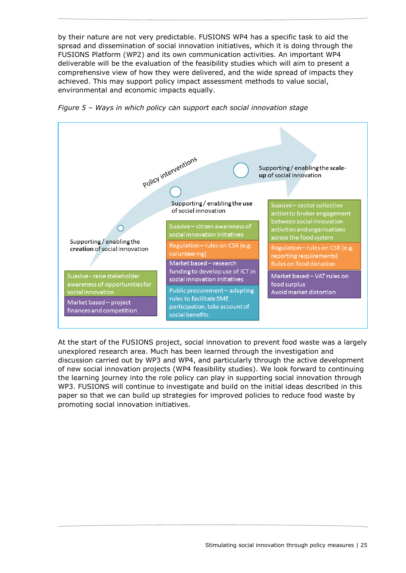by their nature are not very predictable. FUSIONS WP4 has a specific task to aid the spread and dissemination of social innovation initiatives, which it is doing through the FUSIONS Platform (WP2) and its own communication activities. An important WP4 deliverable will be the evaluation of the feasibility studies which will aim to present a comprehensive view of how they were delivered, and the wide spread of impacts they achieved. This may support policy impact assessment methods to value social, environmental and economic impacts equally.



*Figure 5 – Ways in which policy can support each social innovation stage*

At the start of the FUSIONS project, social innovation to prevent food waste was a largely unexplored research area. Much has been learned through the investigation and discussion carried out by WP3 and WP4, and particularly through the active development of new social innovation projects (WP4 feasibility studies). We look forward to continuing the learning journey into the role policy can play in supporting social innovation through WP3. FUSIONS will continue to investigate and build on the initial ideas described in this paper so that we can build up strategies for improved policies to reduce food waste by promoting social innovation initiatives.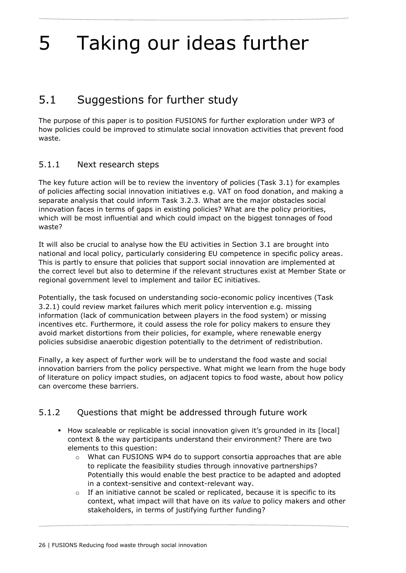# <span id="page-25-0"></span>5 Taking our ideas further

## <span id="page-25-1"></span>5.1 Suggestions for further study

The purpose of this paper is to position FUSIONS for further exploration under WP3 of how policies could be improved to stimulate social innovation activities that prevent food waste.

#### <span id="page-25-2"></span>5.1.1 Next research steps

The key future action will be to review the inventory of policies (Task 3.1) for examples of policies affecting social innovation initiatives e.g. VAT on food donation, and making a separate analysis that could inform Task 3.2.3. What are the major obstacles social innovation faces in terms of gaps in existing policies? What are the policy priorities, which will be most influential and which could impact on the biggest tonnages of food waste?

It will also be crucial to analyse how the EU activities in Section [3.1](#page-8-1) are brought into national and local policy, particularly considering EU competence in specific policy areas. This is partly to ensure that policies that support social innovation are implemented at the correct level but also to determine if the relevant structures exist at Member State or regional government level to implement and tailor EC initiatives.

Potentially, the task focused on understanding socio-economic policy incentives (Task 3.2.1) could review market failures which merit policy intervention e.g. missing information (lack of communication between players in the food system) or missing incentives etc. Furthermore, it could assess the role for policy makers to ensure they avoid market distortions from their policies, for example, where renewable energy policies subsidise anaerobic digestion potentially to the detriment of redistribution.

Finally, a key aspect of further work will be to understand the food waste and social innovation barriers from the policy perspective. What might we learn from the huge body of literature on policy impact studies, on adjacent topics to food waste, about how policy can overcome these barriers.

#### <span id="page-25-3"></span>5.1.2 Questions that might be addressed through future work

- How scaleable or replicable is social innovation given it's grounded in its [local] context & the way participants understand their environment? There are two elements to this question:
	- $\circ$  What can FUSIONS WP4 do to support consortia approaches that are able to replicate the feasibility studies through innovative partnerships? Potentially this would enable the best practice to be adapted and adopted in a context-sensitive and context-relevant way.
	- $\circ$  If an initiative cannot be scaled or replicated, because it is specific to its context, what impact will that have on its *value* to policy makers and other stakeholders, in terms of justifying further funding?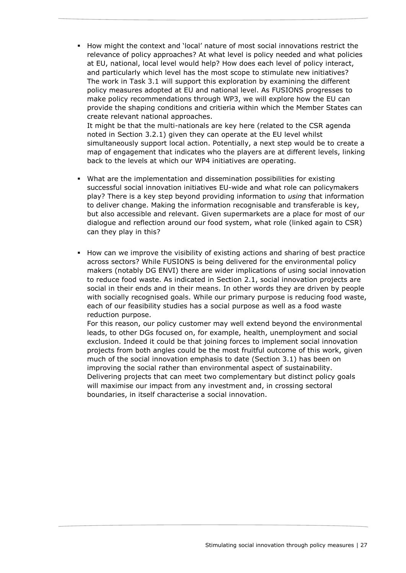• How might the context and 'local' nature of most social innovations restrict the relevance of policy approaches? At what level is policy needed and what policies at EU, national, local level would help? How does each level of policy interact, and particularly which level has the most scope to stimulate new initiatives? The work in Task 3.1 will support this exploration by examining the different policy measures adopted at EU and national level. As FUSIONS progresses to make policy recommendations through WP3, we will explore how the EU can provide the shaping conditions and critieria within which the Member States can create relevant national approaches.

It might be that the multi-nationals are key here (related to the CSR agenda noted in Section [3.2.1\)](#page-10-2) given they can operate at the EU level whilst simultaneously support local action. Potentially, a next step would be to create a map of engagement that indicates who the players are at different levels, linking back to the levels at which our WP4 initiatives are operating.

- What are the implementation and dissemination possibilities for existing successful social innovation initiatives EU-wide and what role can policymakers play? There is a key step beyond providing information to *using* that information to deliver change. Making the information recognisable and transferable is key, but also accessible and relevant. Given supermarkets are a place for most of our dialogue and reflection around our food system, what role (linked again to CSR) can they play in this?
- **H** How can we improve the visibility of existing actions and sharing of best practice across sectors? While FUSIONS is being delivered for the environmental policy makers (notably DG ENVI) there are wider implications of using social innovation to reduce food waste. As indicated in Section [2.1,](#page-4-1) social innovation projects are social in their ends and in their means. In other words they are driven by people with socially recognised goals. While our primary purpose is reducing food waste, each of our feasibility studies has a social purpose as well as a food waste reduction purpose.

For this reason, our policy customer may well extend beyond the environmental leads, to other DGs focused on, for example, health, unemployment and social exclusion. Indeed it could be that joining forces to implement social innovation projects from both angles could be the most fruitful outcome of this work, given much of the social innovation emphasis to date (Section [3.1\)](#page-8-1) has been on improving the social rather than environmental aspect of sustainability. Delivering projects that can meet two complementary but distinct policy goals will maximise our impact from any investment and, in crossing sectoral boundaries, in itself characterise a social innovation.